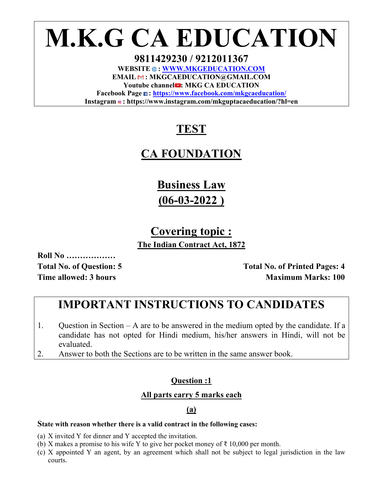**M.K.G CA EDUCATION** 

**9811429230 / 9212011367**  WEBSITE  $\odot$ : WWW.MKGEDUCATION.COM **EMAIL : MKGCAEDUCATION@GMAIL.COM**  Youtube channel : MKG CA EDUCATION **Facebook Page : https://www.facebook.com/mkgcaeducation/ Instagram : https://www.instagram.com/mkguptacaeducation/?hl=en** 

# **TEST**

# **CA FOUNDATION**

**Business Law (06-03-2022 )** 

# **Covering topic :**

**The Indian Contract Act, 1872** 

**Roll No ………………** 

Total No. of Question: 5 **Total No. of Printed Pages: 4 Time allowed: 3 hours Maximum Marks: 100** 

# **IMPORTANT INSTRUCTIONS TO CANDIDATES**

- 1. Question in Section A are to be answered in the medium opted by the candidate. If a candidate has not opted for Hindi medium, his/her answers in Hindi, will not be evaluated.
- 2. Answer to both the Sections are to be written in the same answer book.

# **Question :1**

# **All parts carry 5 marks each**

# **(a)**

### **State with reason whether there is a valid contract in the following cases:**

- (a) X invited Y for dinner and Y accepted the invitation.
- (b) X makes a promise to his wife Y to give her pocket money of  $\bar{\tau}$  10,000 per month.
- (c) X appointed Y an agent, by an agreement which shall not be subject to legal jurisdiction in the law courts.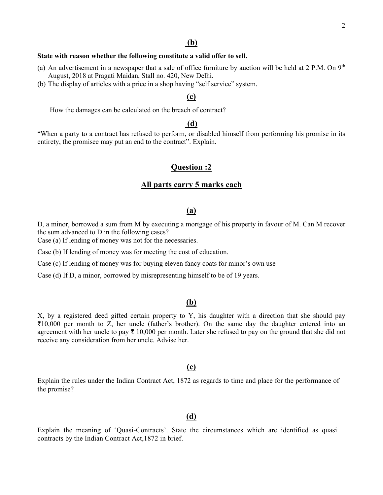## **(b)**

#### **State with reason whether the following constitute a valid offer to sell.**

- (a) An advertisement in a newspaper that a sale of office furniture by auction will be held at 2 P.M. On  $9<sup>th</sup>$ August, 2018 at Pragati Maidan, Stall no. 420, New Delhi.
- (b) The display of articles with a price in a shop having "self service" system.

## **(c)**

How the damages can be calculated on the breach of contract?

## **(d)**

"When a party to a contract has refused to perform, or disabled himself from performing his promise in its entirety, the promisee may put an end to the contract". Explain.

## **Question :2**

#### **All parts carry 5 marks each**

#### **(a)**

D, a minor, borrowed a sum from M by executing a mortgage of his property in favour of M. Can M recover the sum advanced to D in the following cases?

Case (a) If lending of money was not for the necessaries.

Case (b) If lending of money was for meeting the cost of education.

Case (c) If lending of money was for buying eleven fancy coats for minor's own use

Case (d) If D, a minor, borrowed by misrepresenting himself to be of 19 years.

#### **(b)**

X, by a registered deed gifted certain property to Y, his daughter with a direction that she should pay ₹10,000 per month to Z, her uncle (father's brother). On the same day the daughter entered into an agreement with her uncle to pay ₹ 10,000 per month. Later she refused to pay on the ground that she did not receive any consideration from her uncle. Advise her.

#### **(c)**

Explain the rules under the Indian Contract Act, 1872 as regards to time and place for the performance of the promise?

## **(d)**

Explain the meaning of 'Quasi-Contracts'. State the circumstances which are identified as quasi contracts by the Indian Contract Act,1872 in brief.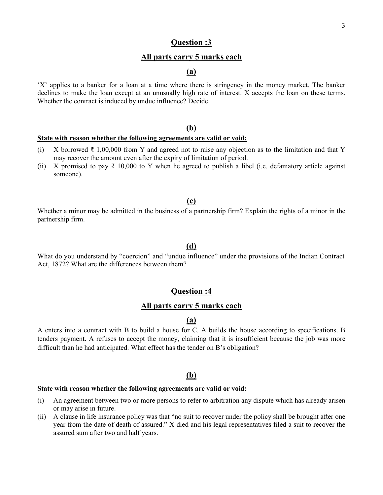## **Question :3**

## **All parts carry 5 marks each**

## **(a)**

'X' applies to a banker for a loan at a time where there is stringency in the money market. The banker declines to make the loan except at an unusually high rate of interest. X accepts the loan on these terms. Whether the contract is induced by undue influence? Decide.

## **(b)**

#### **State with reason whether the following agreements are valid or void:**

- (i) X borrowed  $\bar{\tau}$  1,00,000 from Y and agreed not to raise any objection as to the limitation and that Y may recover the amount even after the expiry of limitation of period.
- (ii) X promised to pay  $\bar{\tau}$  10,000 to Y when he agreed to publish a libel (i.e. defamatory article against someone).

#### **(c)**

Whether a minor may be admitted in the business of a partnership firm? Explain the rights of a minor in the partnership firm.

#### **(d)**

What do you understand by "coercion" and "undue influence" under the provisions of the Indian Contract Act, 1872? What are the differences between them?

# **Question :4**

## **All parts carry 5 marks each**

#### **(a)**

A enters into a contract with B to build a house for C. A builds the house according to specifications. B tenders payment. A refuses to accept the money, claiming that it is insufficient because the job was more difficult than he had anticipated. What effect has the tender on B's obligation?

#### **(b)**

#### **State with reason whether the following agreements are valid or void:**

- (i) An agreement between two or more persons to refer to arbitration any dispute which has already arisen or may arise in future.
- (ii) A clause in life insurance policy was that "no suit to recover under the policy shall be brought after one year from the date of death of assured." X died and his legal representatives filed a suit to recover the assured sum after two and half years.